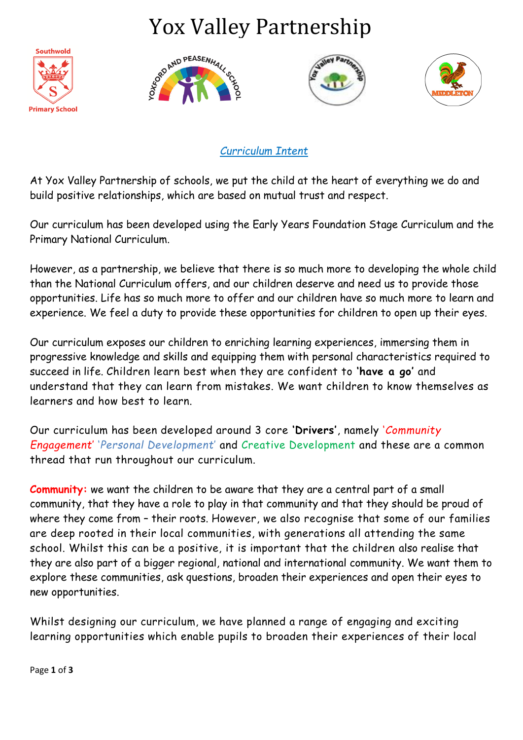## Yox Valley Partnership









*Curriculum Intent*

At Yox Valley Partnership of schools, we put the child at the heart of everything we do and build positive relationships, which are based on mutual trust and respect.

Our curriculum has been developed using the Early Years Foundation Stage Curriculum and the Primary National Curriculum.

However, as a partnership, we believe that there is so much more to developing the whole child than the National Curriculum offers, and our children deserve and need us to provide those opportunities. Life has so much more to offer and our children have so much more to learn and experience. We feel a duty to provide these opportunities for children to open up their eyes.

Our curriculum exposes our children to enriching learning experiences, immersing them in progressive knowledge and skills and equipping them with personal characteristics required to succeed in life. Children learn best when they are confident to **'have a go'** and understand that they can learn from mistakes. We want children to know themselves as learners and how best to learn.

Our curriculum has been developed around 3 core **'Drivers'**, namely '*Community Engagement*' '*Personal Development*' and Creative Development and these are a common thread that run throughout our curriculum.

**Community:** we want the children to be aware that they are a central part of a small community, that they have a role to play in that community and that they should be proud of where they come from – their roots. However, we also recognise that some of our families are deep rooted in their local communities, with generations all attending the same school. Whilst this can be a positive, it is important that the children also realise that they are also part of a bigger regional, national and international community. We want them to explore these communities, ask questions, broaden their experiences and open their eyes to new opportunities.

Whilst designing our curriculum, we have planned a range of engaging and exciting learning opportunities which enable pupils to broaden their experiences of their local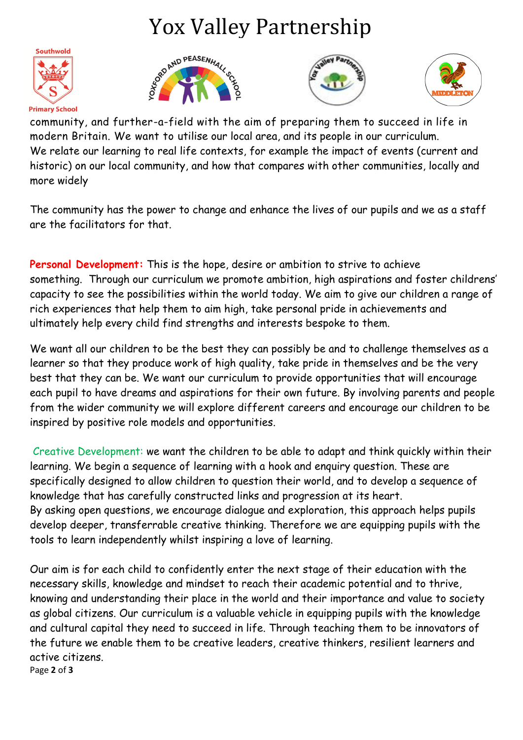## Yox Valley Partnership









community, and further-a-field with the aim of preparing them to succeed in life in modern Britain. We want to utilise our local area, and its people in our curriculum. We relate our learning to real life contexts, for example the impact of events (current and historic) on our local community, and how that compares with other communities, locally and more widely

The community has the power to change and enhance the lives of our pupils and we as a staff are the facilitators for that.

**Personal Development:** This is the hope, desire or ambition to strive to achieve something. Through our curriculum we promote ambition, high aspirations and foster childrens' capacity to see the possibilities within the world today. We aim to give our children a range of rich experiences that help them to aim high, take personal pride in achievements and ultimately help every child find strengths and interests bespoke to them.

We want all our children to be the best they can possibly be and to challenge themselves as a learner so that they produce work of high quality, take pride in themselves and be the very best that they can be. We want our curriculum to provide opportunities that will encourage each pupil to have dreams and aspirations for their own future. By involving parents and people from the wider community we will explore different careers and encourage our children to be inspired by positive role models and opportunities.

Creative Development: we want the children to be able to adapt and think quickly within their learning. We begin a sequence of learning with a hook and enquiry question. These are specifically designed to allow children to question their world, and to develop a sequence of knowledge that has carefully constructed links and progression at its heart. By asking open questions, we encourage dialogue and exploration, this approach helps pupils develop deeper, transferrable creative thinking. Therefore we are equipping pupils with the tools to learn independently whilst inspiring a love of learning.

Page **2** of **3** Our aim is for each child to confidently enter the next stage of their education with the necessary skills, knowledge and mindset to reach their academic potential and to thrive, knowing and understanding their place in the world and their importance and value to society as global citizens. Our curriculum is a valuable vehicle in equipping pupils with the knowledge and cultural capital they need to succeed in life. Through teaching them to be innovators of the future we enable them to be creative leaders, creative thinkers, resilient learners and active citizens.